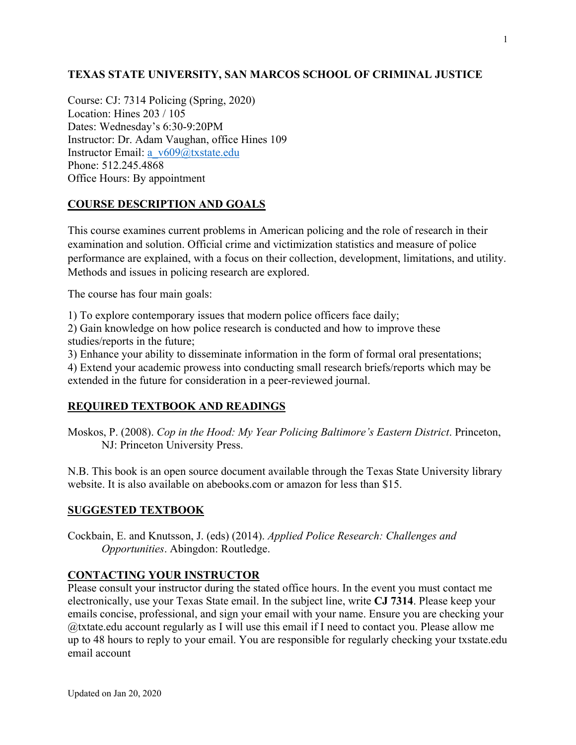## **TEXAS STATE UNIVERSITY, SAN MARCOS SCHOOL OF CRIMINAL JUSTICE**

Course: CJ: 7314 Policing (Spring, 2020) Location: Hines 203 / 105 Dates: Wednesday's 6:30-9:20PM Instructor: Dr. Adam Vaughan, office Hines 109 Instructor Email: a\_v609@txstate.edu Phone: 512.245.4868 Office Hours: By appointment

## **COURSE DESCRIPTION AND GOALS**

This course examines current problems in American policing and the role of research in their examination and solution. Official crime and victimization statistics and measure of police performance are explained, with a focus on their collection, development, limitations, and utility. Methods and issues in policing research are explored.

The course has four main goals:

1) To explore contemporary issues that modern police officers face daily;

2) Gain knowledge on how police research is conducted and how to improve these studies/reports in the future;

3) Enhance your ability to disseminate information in the form of formal oral presentations;

4) Extend your academic prowess into conducting small research briefs/reports which may be extended in the future for consideration in a peer-reviewed journal.

## **REQUIRED TEXTBOOK AND READINGS**

Moskos, P. (2008). *Cop in the Hood: My Year Policing Baltimore's Eastern District*. Princeton, NJ: Princeton University Press.

N.B. This book is an open source document available through the Texas State University library website. It is also available on abebooks.com or amazon for less than \$15.

### **SUGGESTED TEXTBOOK**

Cockbain, E. and Knutsson, J. (eds) (2014). *Applied Police Research: Challenges and Opportunities*. Abingdon: Routledge.

### **CONTACTING YOUR INSTRUCTOR**

Please consult your instructor during the stated office hours. In the event you must contact me electronically, use your Texas State email. In the subject line, write **CJ 7314**. Please keep your emails concise, professional, and sign your email with your name. Ensure you are checking your @txtate.edu account regularly as I will use this email if I need to contact you. Please allow me up to 48 hours to reply to your email. You are responsible for regularly checking your txstate.edu email account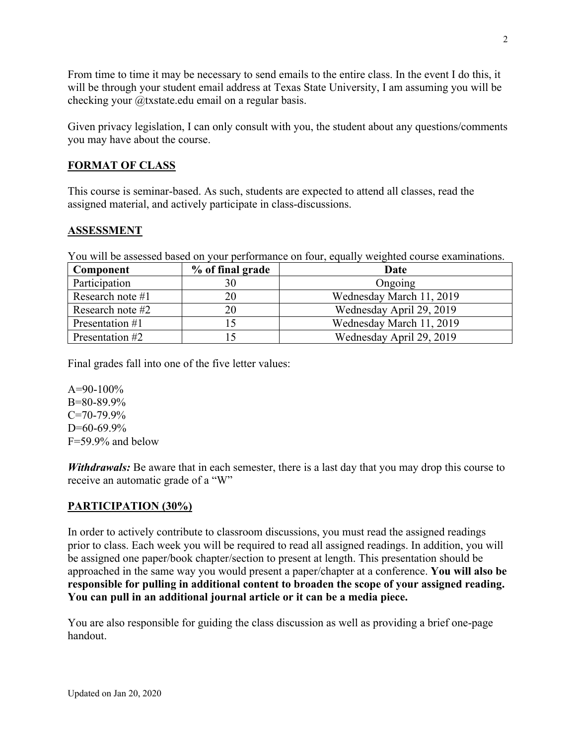From time to time it may be necessary to send emails to the entire class. In the event I do this, it will be through your student email address at Texas State University, I am assuming you will be checking your @txstate.edu email on a regular basis.

Given privacy legislation, I can only consult with you, the student about any questions/comments you may have about the course.

## **FORMAT OF CLASS**

This course is seminar-based. As such, students are expected to attend all classes, read the assigned material, and actively participate in class-discussions.

### **ASSESSMENT**

You will be assessed based on your performance on four, equally weighted course examinations.

| Component        | % of final grade | Date                     |
|------------------|------------------|--------------------------|
| Participation    |                  | Ongoing                  |
| Research note #1 |                  | Wednesday March 11, 2019 |
| Research note #2 |                  | Wednesday April 29, 2019 |
| Presentation #1  |                  | Wednesday March 11, 2019 |
| Presentation #2  |                  | Wednesday April 29, 2019 |

Final grades fall into one of the five letter values:

 $A=90-100\%$ B=80-89.9%  $C=70-79.9%$  $D=60-69.9%$ F=59.9% and below

*Withdrawals:* Be aware that in each semester, there is a last day that you may drop this course to receive an automatic grade of a "W"

### **PARTICIPATION (30%)**

In order to actively contribute to classroom discussions, you must read the assigned readings prior to class. Each week you will be required to read all assigned readings. In addition, you will be assigned one paper/book chapter/section to present at length. This presentation should be approached in the same way you would present a paper/chapter at a conference. **You will also be responsible for pulling in additional content to broaden the scope of your assigned reading. You can pull in an additional journal article or it can be a media piece.** 

You are also responsible for guiding the class discussion as well as providing a brief one-page handout.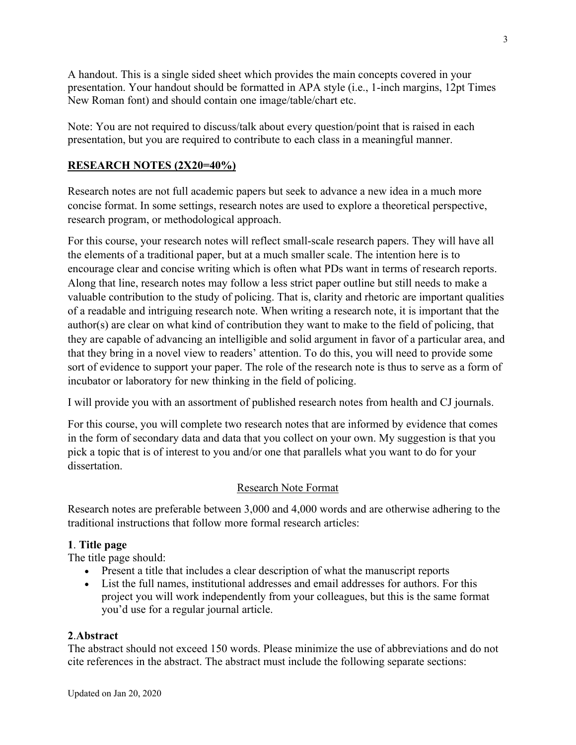A handout. This is a single sided sheet which provides the main concepts covered in your presentation. Your handout should be formatted in APA style (i.e., 1-inch margins, 12pt Times New Roman font) and should contain one image/table/chart etc.

Note: You are not required to discuss/talk about every question/point that is raised in each presentation, but you are required to contribute to each class in a meaningful manner.

## **RESEARCH NOTES (2X20=40%)**

Research notes are not full academic papers but seek to advance a new idea in a much more concise format. In some settings, research notes are used to explore a theoretical perspective, research program, or methodological approach.

For this course, your research notes will reflect small-scale research papers. They will have all the elements of a traditional paper, but at a much smaller scale. The intention here is to encourage clear and concise writing which is often what PDs want in terms of research reports. Along that line, research notes may follow a less strict paper outline but still needs to make a valuable contribution to the study of policing. That is, clarity and rhetoric are important qualities of a readable and intriguing research note. When writing a research note, it is important that the author(s) are clear on what kind of contribution they want to make to the field of policing, that they are capable of advancing an intelligible and solid argument in favor of a particular area, and that they bring in a novel view to readers' attention. To do this, you will need to provide some sort of evidence to support your paper. The role of the research note is thus to serve as a form of incubator or laboratory for new thinking in the field of policing.

I will provide you with an assortment of published research notes from health and CJ journals.

For this course, you will complete two research notes that are informed by evidence that comes in the form of secondary data and data that you collect on your own. My suggestion is that you pick a topic that is of interest to you and/or one that parallels what you want to do for your dissertation.

## Research Note Format

Research notes are preferable between 3,000 and 4,000 words and are otherwise adhering to the traditional instructions that follow more formal research articles:

## **1**. **Title page**

The title page should:

- Present a title that includes a clear description of what the manuscript reports
- List the full names, institutional addresses and email addresses for authors. For this project you will work independently from your colleagues, but this is the same format you'd use for a regular journal article.

### **2**.**Abstract**

The abstract should not exceed 150 words. Please minimize the use of abbreviations and do not cite references in the abstract. The abstract must include the following separate sections: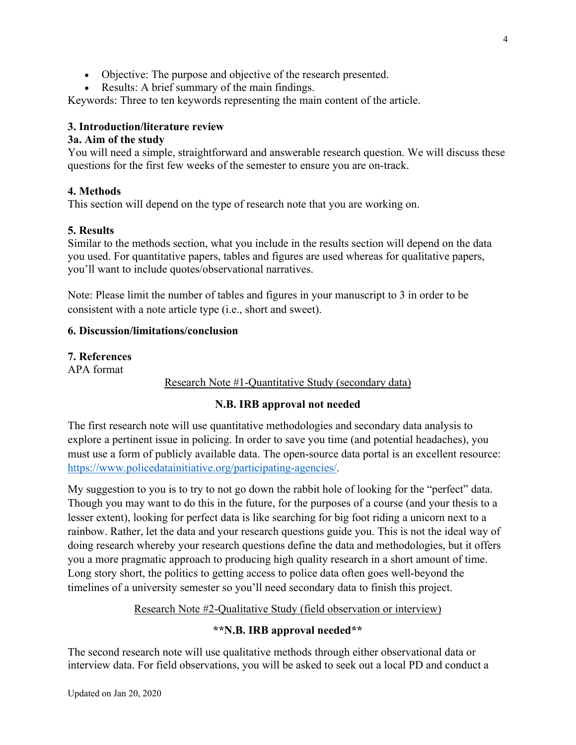- Objective: The purpose and objective of the research presented.
- Results: A brief summary of the main findings.

Keywords: Three to ten keywords representing the main content of the article.

## **3. Introduction/literature review**

### **3a. Aim of the study**

You will need a simple, straightforward and answerable research question. We will discuss these questions for the first few weeks of the semester to ensure you are on-track.

## **4. Methods**

This section will depend on the type of research note that you are working on.

## **5. Results**

Similar to the methods section, what you include in the results section will depend on the data you used. For quantitative papers, tables and figures are used whereas for qualitative papers, you'll want to include quotes/observational narratives.

Note: Please limit the number of tables and figures in your manuscript to 3 in order to be consistent with a note article type (i.e., short and sweet).

## **6. Discussion/limitations/conclusion**

## **7. References**

APA format

Research Note #1-Quantitative Study (secondary data)

## **N.B. IRB approval not needed**

The first research note will use quantitative methodologies and secondary data analysis to explore a pertinent issue in policing. In order to save you time (and potential headaches), you must use a form of publicly available data. The open-source data portal is an excellent resource: https://www.policedatainitiative.org/participating-agencies/.

My suggestion to you is to try to not go down the rabbit hole of looking for the "perfect" data. Though you may want to do this in the future, for the purposes of a course (and your thesis to a lesser extent), looking for perfect data is like searching for big foot riding a unicorn next to a rainbow. Rather, let the data and your research questions guide you. This is not the ideal way of doing research whereby your research questions define the data and methodologies, but it offers you a more pragmatic approach to producing high quality research in a short amount of time. Long story short, the politics to getting access to police data often goes well-beyond the timelines of a university semester so you'll need secondary data to finish this project.

## Research Note #2-Qualitative Study (field observation or interview)

### **\*\*N.B. IRB approval needed\*\***

The second research note will use qualitative methods through either observational data or interview data. For field observations, you will be asked to seek out a local PD and conduct a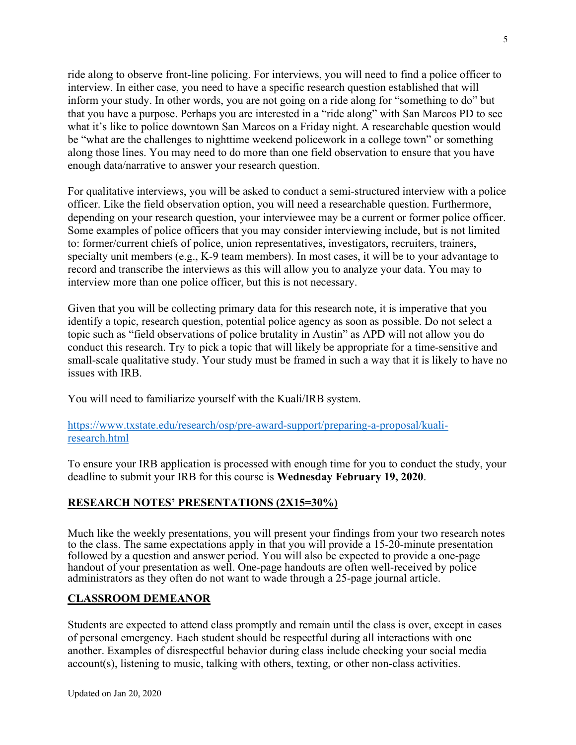ride along to observe front-line policing. For interviews, you will need to find a police officer to interview. In either case, you need to have a specific research question established that will inform your study. In other words, you are not going on a ride along for "something to do" but that you have a purpose. Perhaps you are interested in a "ride along" with San Marcos PD to see what it's like to police downtown San Marcos on a Friday night. A researchable question would be "what are the challenges to nighttime weekend policework in a college town" or something along those lines. You may need to do more than one field observation to ensure that you have enough data/narrative to answer your research question.

For qualitative interviews, you will be asked to conduct a semi-structured interview with a police officer. Like the field observation option, you will need a researchable question. Furthermore, depending on your research question, your interviewee may be a current or former police officer. Some examples of police officers that you may consider interviewing include, but is not limited to: former/current chiefs of police, union representatives, investigators, recruiters, trainers, specialty unit members (e.g., K-9 team members). In most cases, it will be to your advantage to record and transcribe the interviews as this will allow you to analyze your data. You may to interview more than one police officer, but this is not necessary.

Given that you will be collecting primary data for this research note, it is imperative that you identify a topic, research question, potential police agency as soon as possible. Do not select a topic such as "field observations of police brutality in Austin" as APD will not allow you do conduct this research. Try to pick a topic that will likely be appropriate for a time-sensitive and small-scale qualitative study. Your study must be framed in such a way that it is likely to have no issues with IRB.

You will need to familiarize yourself with the Kuali/IRB system.

### https://www.txstate.edu/research/osp/pre-award-support/preparing-a-proposal/kualiresearch.html

To ensure your IRB application is processed with enough time for you to conduct the study, your deadline to submit your IRB for this course is **Wednesday February 19, 2020**.

## **RESEARCH NOTES' PRESENTATIONS (2X15=30%)**

Much like the weekly presentations, you will present your findings from your two research notes to the class. The same expectations apply in that you will provide a 15-20-minute presentation followed by a question and answer period. You will also be expected to provide a one-page handout of your presentation as well. One-page handouts are often well-received by police administrators as they often do not want to wade through a 25-page journal article.

## **CLASSROOM DEMEANOR**

Students are expected to attend class promptly and remain until the class is over, except in cases of personal emergency. Each student should be respectful during all interactions with one another. Examples of disrespectful behavior during class include checking your social media account(s), listening to music, talking with others, texting, or other non-class activities.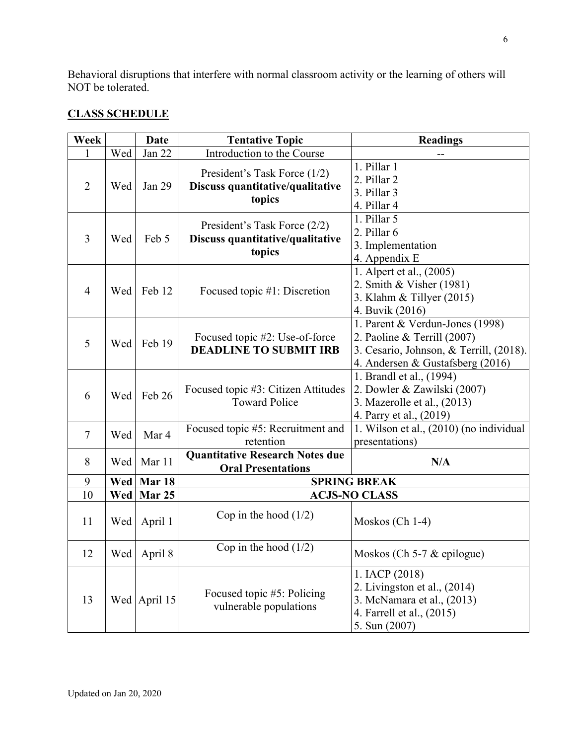Behavioral disruptions that interfere with normal classroom activity or the learning of others will NOT be tolerated.

## **CLASS SCHEDULE**

| Week           |     | Date          | <b>Tentative Topic</b>                                                     | <b>Readings</b>                                                                                                                               |
|----------------|-----|---------------|----------------------------------------------------------------------------|-----------------------------------------------------------------------------------------------------------------------------------------------|
| 1              | Wed | Jan 22        | Introduction to the Course                                                 |                                                                                                                                               |
| $\overline{2}$ | Wed | Jan 29        | President's Task Force (1/2)<br>Discuss quantitative/qualitative<br>topics | 1. Pillar 1<br>2. Pillar 2<br>3. Pillar 3<br>4. Pillar 4                                                                                      |
| 3              | Wed | Feb 5         | President's Task Force (2/2)<br>Discuss quantitative/qualitative<br>topics | 1. Pillar 5<br>2. Pillar 6<br>3. Implementation<br>4. Appendix E                                                                              |
| $\overline{4}$ | Wed | Feb 12        | Focused topic #1: Discretion                                               | 1. Alpert et al., (2005)<br>2. Smith & Visher (1981)<br>3. Klahm $&$ Tillyer (2015)<br>4. Buvik (2016)                                        |
| 5              | Wed | Feb 19        | Focused topic #2: Use-of-force<br><b>DEADLINE TO SUBMIT IRB</b>            | 1. Parent & Verdun-Jones (1998)<br>2. Paoline & Terrill (2007)<br>3. Cesario, Johnson, & Terrill, (2018).<br>4. Andersen & Gustafsberg (2016) |
| 6              | Wed | Feb 26        | Focused topic #3: Citizen Attitudes<br><b>Toward Police</b>                | 1. Brandl et al., (1994)<br>2. Dowler & Zawilski (2007)<br>3. Mazerolle et al., (2013)<br>4. Parry et al., (2019)                             |
| $\tau$         | Wed | Mar 4         | Focused topic #5: Recruitment and<br>retention                             | 1. Wilson et al., (2010) (no individual<br>presentations)                                                                                     |
| 8              | Wed | Mar 11        | <b>Quantitative Research Notes due</b><br><b>Oral Presentations</b>        | N/A                                                                                                                                           |
| 9              | Wed | Mar 18        |                                                                            | <b>SPRING BREAK</b>                                                                                                                           |
| 10             | Wed | Mar 25        | <b>ACJS-NO CLASS</b>                                                       |                                                                                                                                               |
| 11             | Wed | April 1       | Cop in the hood $(1/2)$                                                    | Moskos (Ch $1-4$ )                                                                                                                            |
| 12             |     | Wed   April 8 | Cop in the hood $(1/2)$                                                    | Moskos (Ch 5-7 $&$ epilogue)                                                                                                                  |
| 13             |     | Wed April 15  | Focused topic #5: Policing<br>vulnerable populations                       | 1. IACP (2018)<br>2. Livingston et al., $(2014)$<br>3. McNamara et al., (2013)<br>4. Farrell et al., (2015)<br>5. Sun (2007)                  |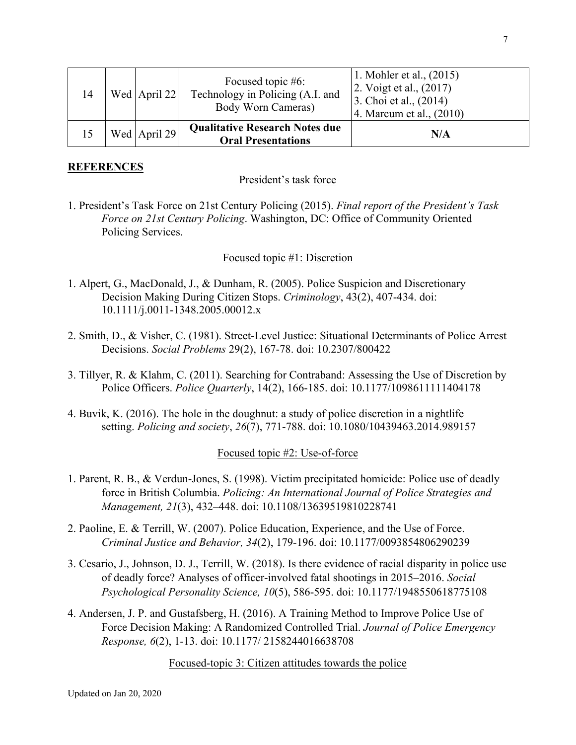| 14 | Wed April 22 | Focused topic #6:<br>Technology in Policing (A.I. and<br>Body Worn Cameras) | 1. Mohler et al., $(2015)$<br>2. Voigt et al., $(2017)$<br>3. Choi et al., $(2014)$<br>4. Marcum et al., $(2010)$ |
|----|--------------|-----------------------------------------------------------------------------|-------------------------------------------------------------------------------------------------------------------|
|    | Wed April 29 | <b>Qualitative Research Notes due</b><br><b>Oral Presentations</b>          | N/A                                                                                                               |

### **REFERENCES**

#### President's task force

1. President's Task Force on 21st Century Policing (2015). *Final report of the President's Task Force on 21st Century Policing*. Washington, DC: Office of Community Oriented Policing Services.

#### Focused topic #1: Discretion

- 1. Alpert, G., MacDonald, J., & Dunham, R. (2005). Police Suspicion and Discretionary Decision Making During Citizen Stops. *Criminology*, 43(2), 407-434. doi: 10.1111/j.0011-1348.2005.00012.x
- 2. Smith, D., & Visher, C. (1981). Street-Level Justice: Situational Determinants of Police Arrest Decisions. *Social Problems* 29(2), 167-78. doi: 10.2307/800422
- 3. Tillyer, R. & Klahm, C. (2011). Searching for Contraband: Assessing the Use of Discretion by Police Officers. *Police Quarterly*, 14(2), 166-185. doi: 10.1177/1098611111404178
- 4. Buvik, K. (2016). The hole in the doughnut: a study of police discretion in a nightlife setting. *Policing and society*, *26*(7), 771-788. doi: 10.1080/10439463.2014.989157

#### Focused topic #2: Use-of-force

- 1. Parent, R. B., & Verdun-Jones, S. (1998). Victim precipitated homicide: Police use of deadly force in British Columbia. *Policing: An International Journal of Police Strategies and Management, 21*(3), 432–448. doi: 10.1108/13639519810228741
- 2. Paoline, E. & Terrill, W. (2007). Police Education, Experience, and the Use of Force. *Criminal Justice and Behavior, 34*(2), 179-196. doi: 10.1177/0093854806290239
- 3. Cesario, J., Johnson, D. J., Terrill, W. (2018). Is there evidence of racial disparity in police use of deadly force? Analyses of officer-involved fatal shootings in 2015–2016. *Social Psychological Personality Science, 10*(5), 586-595. doi: 10.1177/1948550618775108
- 4. Andersen, J. P. and Gustafsberg, H. (2016). A Training Method to Improve Police Use of Force Decision Making: A Randomized Controlled Trial. *Journal of Police Emergency Response, 6*(2), 1-13. doi: 10.1177/ 2158244016638708

#### Focused-topic 3: Citizen attitudes towards the police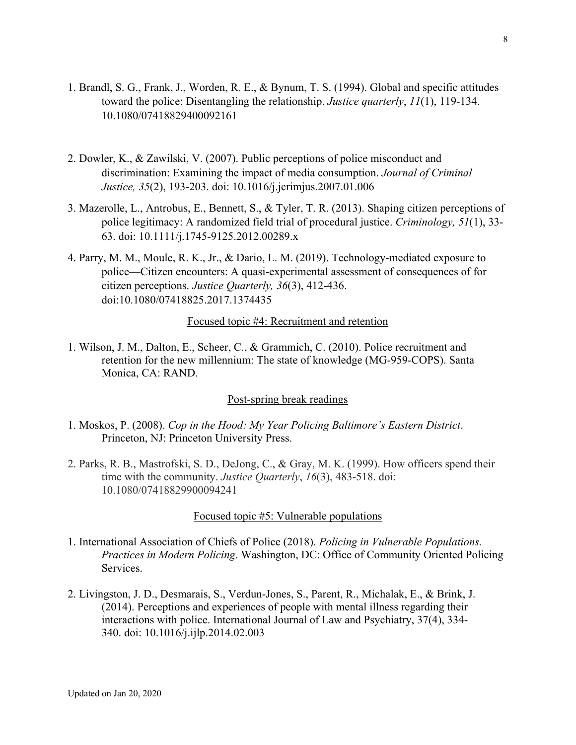- 1. Brandl, S. G., Frank, J., Worden, R. E., & Bynum, T. S. (1994). Global and specific attitudes toward the police: Disentangling the relationship. *Justice quarterly*, *11*(1), 119-134. 10.1080/07418829400092161
- 2. Dowler, K., & Zawilski, V. (2007). Public perceptions of police misconduct and discrimination: Examining the impact of media consumption. *Journal of Criminal Justice, 35*(2), 193-203. doi: 10.1016/j.jcrimjus.2007.01.006
- 3. Mazerolle, L., Antrobus, E., Bennett, S., & Tyler, T. R. (2013). Shaping citizen perceptions of police legitimacy: A randomized field trial of procedural justice. *Criminology, 51*(1), 33- 63. doi: 10.1111/j.1745-9125.2012.00289.x
- 4. Parry, M. M., Moule, R. K., Jr., & Dario, L. M. (2019). Technology-mediated exposure to police—Citizen encounters: A quasi-experimental assessment of consequences of for citizen perceptions. *Justice Quarterly, 36*(3), 412-436. doi:10.1080/07418825.2017.1374435

#### Focused topic #4: Recruitment and retention

1. Wilson, J. M., Dalton, E., Scheer, C., & Grammich, C. (2010). Police recruitment and retention for the new millennium: The state of knowledge (MG-959-COPS). Santa Monica, CA: RAND.

#### Post-spring break readings

- 1. Moskos, P. (2008). *Cop in the Hood: My Year Policing Baltimore's Eastern District*. Princeton, NJ: Princeton University Press.
- 2. Parks, R. B., Mastrofski, S. D., DeJong, C., & Gray, M. K. (1999). How officers spend their time with the community. *Justice Quarterly*, *16*(3), 483-518. doi: 10.1080/07418829900094241

#### Focused topic #5: Vulnerable populations

- 1. International Association of Chiefs of Police (2018). *Policing in Vulnerable Populations. Practices in Modern Policing*. Washington, DC: Office of Community Oriented Policing Services.
- 2. Livingston, J. D., Desmarais, S., Verdun-Jones, S., Parent, R., Michalak, E., & Brink, J. (2014). Perceptions and experiences of people with mental illness regarding their interactions with police. International Journal of Law and Psychiatry, 37(4), 334- 340. doi: 10.1016/j.ijlp.2014.02.003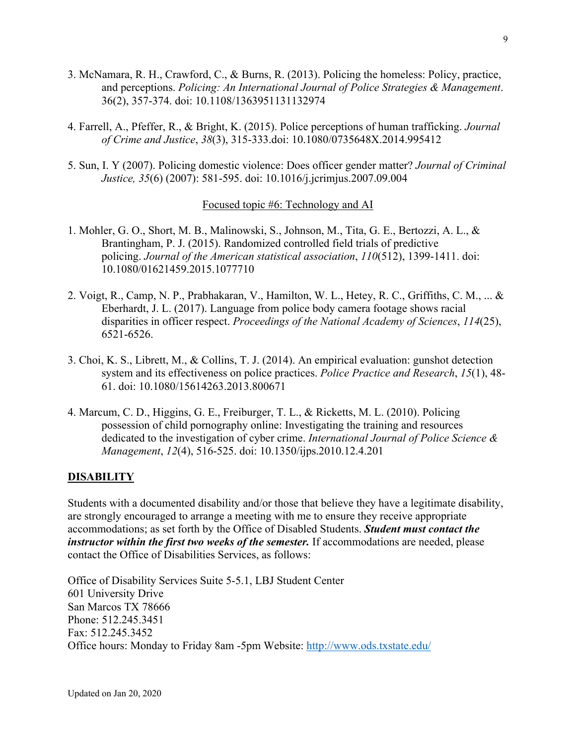- 3. McNamara, R. H., Crawford, C., & Burns, R. (2013). Policing the homeless: Policy, practice, and perceptions. *Policing: An International Journal of Police Strategies & Management*. 36(2), 357-374. doi: 10.1108/1363951131132974
- 4. Farrell, A., Pfeffer, R., & Bright, K. (2015). Police perceptions of human trafficking. *Journal of Crime and Justice*, *38*(3), 315-333.doi: 10.1080/0735648X.2014.995412
- 5. Sun, I. Y (2007). Policing domestic violence: Does officer gender matter? *Journal of Criminal Justice, 35*(6) (2007): 581-595. doi: 10.1016/j.jcrimjus.2007.09.004

#### Focused topic #6: Technology and AI

- 1. Mohler, G. O., Short, M. B., Malinowski, S., Johnson, M., Tita, G. E., Bertozzi, A. L., & Brantingham, P. J. (2015). Randomized controlled field trials of predictive policing. *Journal of the American statistical association*, *110*(512), 1399-1411. doi: 10.1080/01621459.2015.1077710
- 2. Voigt, R., Camp, N. P., Prabhakaran, V., Hamilton, W. L., Hetey, R. C., Griffiths, C. M., ... & Eberhardt, J. L. (2017). Language from police body camera footage shows racial disparities in officer respect. *Proceedings of the National Academy of Sciences*, *114*(25), 6521-6526.
- 3. Choi, K. S., Librett, M., & Collins, T. J. (2014). An empirical evaluation: gunshot detection system and its effectiveness on police practices. *Police Practice and Research*, *15*(1), 48- 61. doi: 10.1080/15614263.2013.800671
- 4. Marcum, C. D., Higgins, G. E., Freiburger, T. L., & Ricketts, M. L. (2010). Policing possession of child pornography online: Investigating the training and resources dedicated to the investigation of cyber crime. *International Journal of Police Science & Management*, *12*(4), 516-525. doi: 10.1350/ijps.2010.12.4.201

### **DISABILITY**

Students with a documented disability and/or those that believe they have a legitimate disability, are strongly encouraged to arrange a meeting with me to ensure they receive appropriate accommodations; as set forth by the Office of Disabled Students. *Student must contact the instructor within the first two weeks of the semester.* If accommodations are needed, please contact the Office of Disabilities Services, as follows:

Office of Disability Services Suite 5-5.1, LBJ Student Center 601 University Drive San Marcos TX 78666 Phone: 512.245.3451 Fax: 512.245.3452 Office hours: Monday to Friday 8am -5pm Website: http://www.ods.txstate.edu/